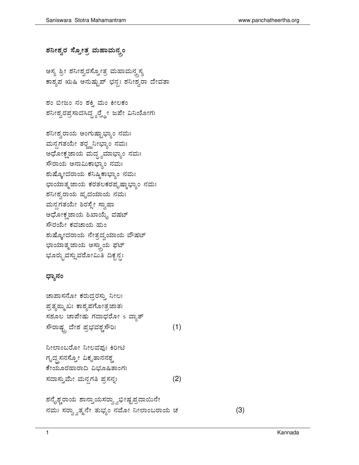## ಶನೀಶ್ವರ ಸ್ತೋತ್ರ ಮಹಾಮನ್ನಂ

ಅಸ್ಯ ಶ್ರೀ ಶನೀಶ್ವರಸ್ತ್ರೋತ್ರ ಮಹಾಮನ್ನಸ್ಯ ಕಾಶ್ಯಪ ಋಷಿ ಅನುಷ್ಟುಪ್ ಛನ್ಧಃ ಶನೀಶ್ವರಾ ದೇವತಾ

ಶಂ ಬೀಜಂ ನಂ ಶಕ್ತಿ ಮಂ ಕೀಲಕಂ ಶನೀಶ್ವರಪ್ರಸಾದಸಿದ್ದ್ಯರ್ರ್ಡ್ಡೇ ಜಪೇ ವಿನಿಯೋಗಃ

ಶನೀಶ್ವರಾಯ ಅಂಗುಷ್ಟಾಭ್ಯಾಂ ನಮಃ ಮನ್ದಗತಯೇ ತರ್ರ್ಜ್ಜನೀಭ್ಯಾಂ ನಮಃ ಅಧೋಕ್ಷಜಾಯ ಮದ್ಧ್ಯಮಾಭ್ಯಾಂ ನಮಃ ಸೌರಾಯ ಅನಾಮಿಕಾಭ್ಯಾಂ ನಮಃ ಶುಷ್ಕೋದರಾಯ ಕನಿಷ್ಠಿಕಾಭ್ಯಾಂ ನಮಃ ಛಾಯಾತ್ಮಜಾಯ ಕರತಲಕರಪೃಷ್ಠಾಭ್ಯಾಂ ನಮಃ ಶನೀಶ್ವರಾಯ ಹೃದಯಾಯ ನಮಃ ಮನ್ಸಗತಯೇ ಶಿರಸ್ಸೇ ಸ್ವಾಹಾ ಅಧೋಕ್ಷ ಜಾಯ ಶಿಖಾಯ್ಯೆ ವಷಟ್ ಸೌರಯೇ ಕವಚಾಯ ಹುಂ ಶುಷ್ಕೋದರಾಯ ನೇತ್ರದ್ವಯಾಯ ವೌಷಟ್ ಛಾಯಾತ್ಮಜಾಯ ಅಸ್ತ್ರಾಯ ಫಟ್ ಭೂರ್ರೃವಸ್ಸುವರೋಮಿತಿ ದಿಕೃನ್ಧಃ

## ಧ್ಯಾನಂ

ಚಾಪಾಸನೋ ಕರುದ್ರರಸ್ತು ನೀಲಃ ಪ್ರತ್ಯಙ್ಮುಖಃ ಕಾಶ್ಯಪಗೋತ್ರಜಾತಃ ಸಶೂಲ ಚಾಪೇಷು ಗದಾಧರೋ s ವ್ಯಾತ್ ಸೌರಾಷ್ಟ್ರ ದೇಶ ಪ್ರಭವಶ್ಚಸೌರಿಃ  $(1)$ ನೀಲಾಂಬರೋ ನೀಲವಫುಃ ಕಿರೀಟಿ ಗೃದ್ಧಸನಸ್ತೋ ವಿಕೃತಾನನಶ್ಚ ಕೇಯೂರಹಾರಾದಿ ವಿಭೂಷಿತಾಂಗಃ ಸದಾಸ್ತುಮೇ ಮನ್ದಗತಿ ಪ್ರಸನ್ನಃ  $(2)$ ಶನೈಶ್ಚರಾಯ ಶಾನ್ತಾಯಸರ್ರ್ವಾಭೀಷ್ಟಪ್ರದಾಯಿನೇ ನಮಃ ಸರ್ರ್ವ್ವಾತ್ಮನೇ ತುಭ್ಯಂ ನಮೋ ನೀಲಾಂಬರಾಯ ಚ

 $(3)$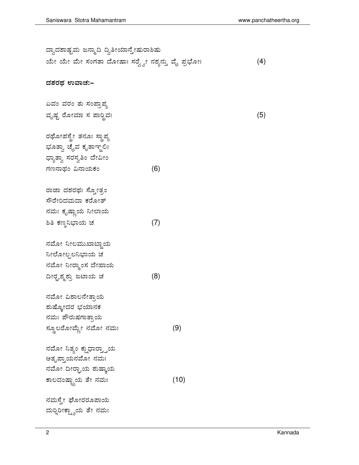| ದ್ವಾದಶಾಷ್ಟಮ ಜನ್ಮಾದಿ ದ್ವಿತೀಯಾನ್ತೇಷುರಾಶಿಷು          |     |      |     |
|---------------------------------------------------|-----|------|-----|
| ಯೇ ಯೇ ಮೇ ಸಂಗತಾ ದೋಷಾಃ ಸರ್ರ್ವ್ವೇ ನಶ್ಯನ್ತು ವೈ ಪ್ರಭೋಃ |     |      | (4) |
| ದಶರಥ ಉವಾಚ:–                                       |     |      |     |
| ಏವಂ ವರಂ ತು ಸಂಪ್ರಾಪ್ತ                              |     |      |     |
| ವೃಷ್ಟ ರೋಮಾ ಸ ಪಾರ್೦ಿ ವಃ                            |     |      | (5) |
| ರಥೋಪಸ್ಥೇ ತನೂಃ ಸ್ಥಾಪ್ಯ                             |     |      |     |
| ಭೂತ್ವಾ ಚೈವ ಕೃತಾಞ್ಜಲಿಃ                             |     |      |     |
| ಧ್ಯಾತ್ವಾ ಸರಸ್ವತಿಂ ದೇವೀಂ                           |     |      |     |
| ಗಣನಾಥಂ ವಿನಾಯಕಂ                                    | (6) |      |     |
| ರಾಜಾ ದಶರಥಃ ಸ್ಕೋತ್ರಂ                               |     |      |     |
| ಸೌರೇರಿದಮದಾ ಕರೋತ್                                  |     |      |     |
| ನಮಃ ಕೃಷ್ಣಾಯ ನೀಲಾಯ                                 |     |      |     |
| ಶಿತಿ ಕಣ್ಠನಿಭಾಯ ಚ                                  | (7) |      |     |
| ನಮೋ ನೀಲಮುಖಾಬ್ಲಾಯ                                  |     |      |     |
| ನೀಲೋಲ್ಪಲನಿಭಾಯ ಚ                                   |     |      |     |
| ನಮೋ ನೀರ್ರ್ಮಾಸ ದೇಹಾಯ                               |     |      |     |
| ದೀರ್ರೃಶ್ಮಶ್ರು ಜಟಾಯ ಚ                              | (8) |      |     |
| ನಮೋ ವಿಶಾಲನೇತ್ತಾಯ                                  |     |      |     |
| ಶುಷ್ಕೋದರ ಭಯಾನಕ                                    |     |      |     |
| ನಮಃ ಪೌರುಷಗಾತ್ತಾಯ                                  |     |      |     |
| ಸ್ಥೂಲರೋವ್ಜೇ ನಮೋ ನಮಃ                               |     | (9)  |     |
| ನಮೋ ನಿತ್ಯಂ ಕ್ಷುಧಾರ್ರ್ತ್ತಾಯ                        |     |      |     |
| ಅತೃಪ್ತಾಯನಮೋ ನಮಃ                                   |     |      |     |
| ನಮೋ ದೀರ್ಘಾಯ ಶುಷ್ಕಾಯ                               |     |      |     |
| ಕಾಲದಂಷ್ಟ್ರಾಯ ತೇ ನಮಃ                               |     | (10) |     |
| ನಮಸ್ಠೇ ಘೋರರೂಪಾಯ                                   |     |      |     |
| ದುರ್ರಿಂಕ್ಷ್ಣಾಯ ತೇ ನಮಃ                             |     |      |     |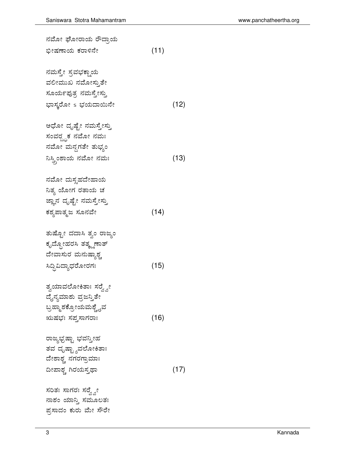| ನಮೋ ಘೋರಾಯ ರೌದ್ರಾಯ        |      |      |
|--------------------------|------|------|
| ಭೀಷಣಾಯ ಕರಾಳಿನೇ           | (11) |      |
| ನಮಸ್ತೇ ಸ್ರವಭಕ್ಷಾಯ        |      |      |
| ವಲೀಮುಖ ನಮೋಸ್ತುತೇ         |      |      |
| ಸೂರ್ಯಪುತ್ರ ನಮಸ್ತೇಸ್ತು    |      |      |
| ಭಾಸ್ಕರೋ s ಭಯದಾಯಿನೇ       |      | (12) |
| ಅಧೋ ದೃಷ್ಟೇ ನಮಸ್ತೇಸ್ತು    |      |      |
| ಸಂವರೄಕ ನಮೋ ನಮಃ           |      |      |
| ನಮೋ ಮನ್ದಗತೇ ತುಭ್ಯಂ       |      |      |
| ನಿಸ್ತ್ರಿಂಶಾಯ ನಮೋ ನಮಃ     |      | (13) |
| ನಮೋ ದುಸ್ಸಹದೇಹಾಯ          |      |      |
| ನಿತ್ಯ ಯೋಗ ರತಾಯ ಚ         |      |      |
| ಜ್ಞಾನ ದೃಷ್ಟೇ ನಮಸ್ತೇಸ್ತು  |      |      |
| ಕಶ್ಯಪಾತ್ಮಜ ಸೂನವೇ         | (14) |      |
| ತುಷ್ಟೋ ದದಾಸಿ ತ್ವಂ ರಾಜ್ಯಂ |      |      |
| ಕೃದ್ದೋಹರಸಿ ತತ್ಕ್ಷಣಾತ್    |      |      |
| ದೇವಾಸುರ ಮನುಷ್ಯಾಶ್ಚ       |      |      |
| ಸಿದ್ದಿವಿದ್ಯಾಧರೋರಗಃ       | (15) |      |
| ತ್ವಯಾವಲೋಕಿತಾಃ ಸರ್ರ್ಸ್ನೇ  |      |      |
| ದೈನ್ಯಮಾಶು ವ್ರಜನ್ತಿತೇ     |      |      |
| ಬ್ರಹ್ಮಾಶಕ್ರೋಯಮಶ್ಚೈವ      |      |      |
| ಋಷಭಃ ಸಪೃಸಾಗರಾಃ           | (16) |      |
| ರಾಜ್ಯಭ್ರಷ್ಟಾ ಭವನ್ತೀಹ     |      |      |
| ತವ ದೃಷ್ಟ್ಯಾವಲೋಕಿತಾಃ      |      |      |
| ದೇಶಾಶ್ಚ ನಗರಗ್ರಾಮಾಃ       |      |      |
| ದೀಪಾಶ್ಚ ಗಿರಯಸ್ತಥಾ        |      | (17) |
| ಸರಿತಃ ಸಾಗರಃ ಸರ್ರ್ಸ್ನೇ    |      |      |
| ನಾಶಂ ಯಾನ್ತಿ ಸಮೂಲತಃ       |      |      |

ಪ್ರಸಾದಂ ಕುರು ಮೇ ಸೌರೇ